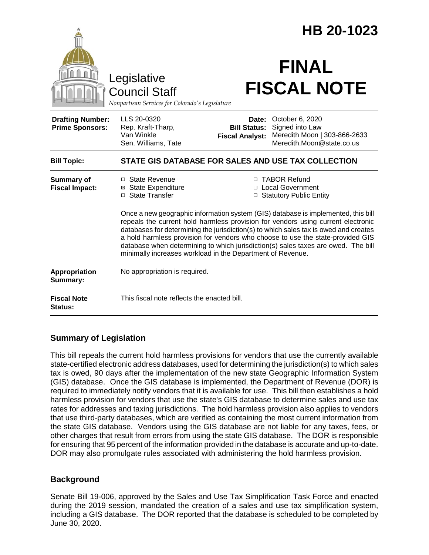|                                                                                        |                                                                                                                                                                                                                                                                                                                                                                                                                                                                                                                                                                                                                                       | HB 20-1023                                             |                                                                                                 |
|----------------------------------------------------------------------------------------|---------------------------------------------------------------------------------------------------------------------------------------------------------------------------------------------------------------------------------------------------------------------------------------------------------------------------------------------------------------------------------------------------------------------------------------------------------------------------------------------------------------------------------------------------------------------------------------------------------------------------------------|--------------------------------------------------------|-------------------------------------------------------------------------------------------------|
| Legislative<br><b>Council Staff</b><br>Nonpartisan Services for Colorado's Legislature |                                                                                                                                                                                                                                                                                                                                                                                                                                                                                                                                                                                                                                       | <b>FINAL</b><br><b>FISCAL NOTE</b>                     |                                                                                                 |
| <b>Drafting Number:</b><br><b>Prime Sponsors:</b>                                      | LLS 20-0320<br>Rep. Kraft-Tharp,<br>Van Winkle<br>Sen. Williams, Tate                                                                                                                                                                                                                                                                                                                                                                                                                                                                                                                                                                 | Date:<br><b>Bill Status:</b><br><b>Fiscal Analyst:</b> | October 6, 2020<br>Signed into Law<br>Meredith Moon   303-866-2633<br>Meredith.Moon@state.co.us |
| <b>Bill Topic:</b>                                                                     | STATE GIS DATABASE FOR SALES AND USE TAX COLLECTION                                                                                                                                                                                                                                                                                                                                                                                                                                                                                                                                                                                   |                                                        |                                                                                                 |
| <b>Summary of</b><br><b>Fiscal Impact:</b>                                             | □ State Revenue<br>□ TABOR Refund<br>⊠ State Expenditure<br>□ Local Government<br>□ State Transfer<br>□ Statutory Public Entity<br>Once a new geographic information system (GIS) database is implemented, this bill<br>repeals the current hold harmless provision for vendors using current electronic<br>databases for determining the jurisdiction(s) to which sales tax is owed and creates<br>a hold harmless provision for vendors who choose to use the state-provided GIS<br>database when determining to which jurisdiction(s) sales taxes are owed. The bill<br>minimally increases workload in the Department of Revenue. |                                                        |                                                                                                 |
| Appropriation<br>Summary:                                                              | No appropriation is required.                                                                                                                                                                                                                                                                                                                                                                                                                                                                                                                                                                                                         |                                                        |                                                                                                 |
| <b>Fiscal Note</b><br>Status:                                                          | This fiscal note reflects the enacted bill.                                                                                                                                                                                                                                                                                                                                                                                                                                                                                                                                                                                           |                                                        |                                                                                                 |

# **Summary of Legislation**

This bill repeals the current hold harmless provisions for vendors that use the currently available state-certified electronic address databases, used for determining the jurisdiction(s) to which sales tax is owed, 90 days after the implementation of the new state Geographic Information System (GIS) database. Once the GIS database is implemented, the Department of Revenue (DOR) is required to immediately notify vendors that it is available for use. This bill then establishes a hold harmless provision for vendors that use the state's GIS database to determine sales and use tax rates for addresses and taxing jurisdictions. The hold harmless provision also applies to vendors that use third-party databases, which are verified as containing the most current information from the state GIS database. Vendors using the GIS database are not liable for any taxes, fees, or other charges that result from errors from using the state GIS database. The DOR is responsible for ensuring that 95 percent of the information provided in the database is accurate and up-to-date. DOR may also promulgate rules associated with administering the hold harmless provision.

# **Background**

Senate Bill 19-006, approved by the Sales and Use Tax Simplification Task Force and enacted during the 2019 session, mandated the creation of a sales and use tax simplification system, including a GIS database. The DOR reported that the database is scheduled to be completed by June 30, 2020.